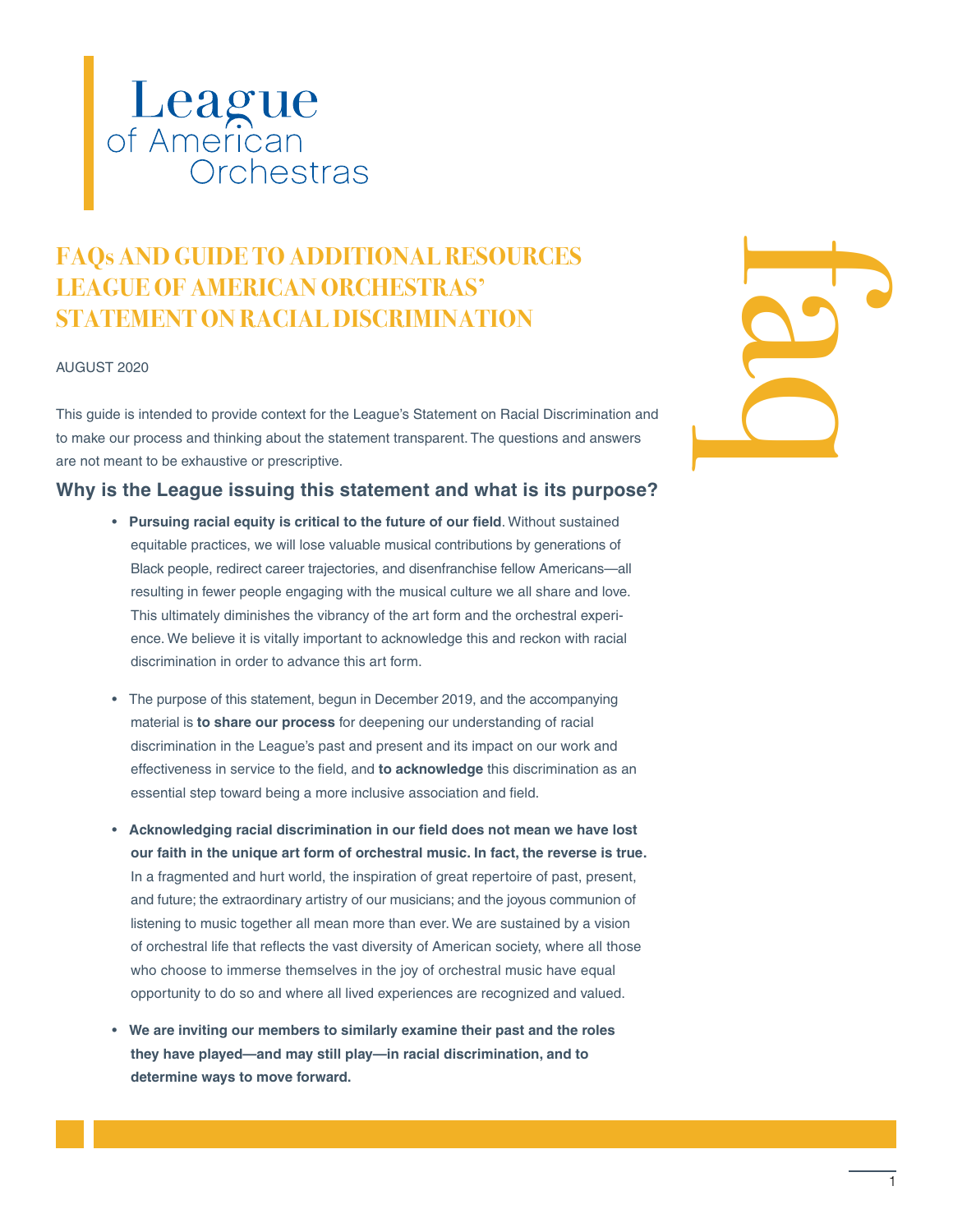

## **FAQs AND GUIDE TO ADDITIONAL RESOURCES LEAGUE OF AMERICAN ORCHESTRAS' STATEMENT ON RACIAL DISCRIMINATION**

#### AUGUST 2020

This guide is intended to provide context for the League's Statement on Racial Discrimination and to make our process and thinking about the statement transparent. The questions and answers are not meant to be exhaustive or prescriptive.

#### **Why is the League issuing this statement and what is its purpose?**

- **Pursuing racial equity is critical to the future of our field**. Without sustained equitable practices, we will lose valuable musical contributions by generations of Black people, redirect career trajectories, and disenfranchise fellow Americans—all resulting in fewer people engaging with the musical culture we all share and love. This ultimately diminishes the vibrancy of the art form and the orchestral experience. We believe it is vitally important to acknowledge this and reckon with racial discrimination in order to advance this art form.
- The purpose of this statement, begun in December 2019, and the accompanying material is **to share our process** for deepening our understanding of racial discrimination in the League's past and present and its impact on our work and effectiveness in service to the field, and **to acknowledge** this discrimination as an essential step toward being a more inclusive association and field.
- **Acknowledging racial discrimination in our field does not mean we have lost our faith in the unique art form of orchestral music. In fact, the reverse is true.** In a fragmented and hurt world, the inspiration of great repertoire of past, present, and future; the extraordinary artistry of our musicians; and the joyous communion of listening to music together all mean more than ever. We are sustained by a vision of orchestral life that reflects the vast diversity of American society, where all those who choose to immerse themselves in the joy of orchestral music have equal opportunity to do so and where all lived experiences are recognized and valued.
- **We are inviting our members to similarly examine their past and the roles they have played—and may still play—in racial discrimination, and to determine ways to move forward.**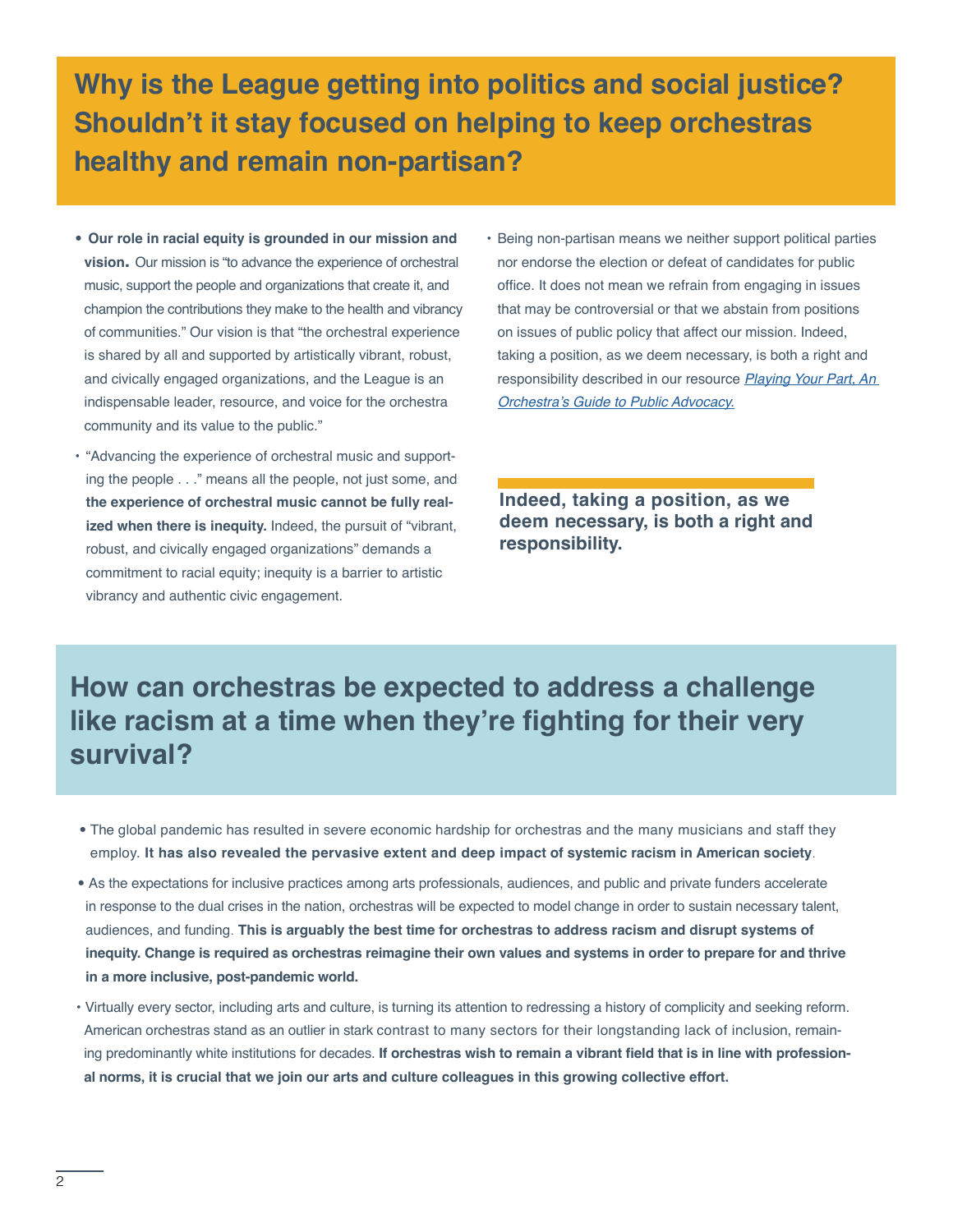**Why is the League getting into politics and social justice? Shouldn't it stay focused on helping to keep orchestras healthy and remain non-partisan?**

- **Our role in racial equity is grounded in our mission and vision.** Our mission is "to advance the experience of orchestral music, support the people and organizations that create it, and champion the contributions they make to the health and vibrancy of communities." Our vision is that "the orchestral experience is shared by all and supported by artistically vibrant, robust, and civically engaged organizations, and the League is an indispensable leader, resource, and voice for the orchestra community and its value to the public."
- "Advancing the experience of orchestral music and supporting the people . . ." means all the people, not just some, and **the experience of orchestral music cannot be fully realized when there is inequity.** Indeed, the pursuit of "vibrant, robust, and civically engaged organizations" demands a commitment to racial equity; inequity is a barrier to artistic vibrancy and authentic civic engagement.
- Being non-partisan means we neither support political parties nor endorse the election or defeat of candidates for public office. It does not mean we refrain from engaging in issues that may be controversial or that we abstain from positions on issues of public policy that affect our mission. Indeed, taking a position, as we deem necessary, is both a right and responsibility described in our resource *[Playing Your Part, An](https://americanorchestras.org/advocacy-government/making-the-case-advocacy-resources/playing-your-part-an-orchestra-s-guide-to-public-policy-advocacy.html)*  [Orchestra's Guide to Public Advocacy.](https://americanorchestras.org/advocacy-government/making-the-case-advocacy-resources/playing-your-part-an-orchestra-s-guide-to-public-policy-advocacy.html)

**Indeed, taking a position, as we deem necessary, is both a right and responsibility.**

## **How can orchestras be expected to address a challenge like racism at a time when they're fighting for their very survival?**

- The global pandemic has resulted in severe economic hardship for orchestras and the many musicians and staff they employ. **It has also revealed the pervasive extent and deep impact of systemic racism in American society**.
- As the expectations for inclusive practices among arts professionals, audiences, and public and private funders accelerate in response to the dual crises in the nation, orchestras will be expected to model change in order to sustain necessary talent, audiences, and funding. **This is arguably the best time for orchestras to address racism and disrupt systems of inequity. Change is required as orchestras reimagine their own values and systems in order to prepare for and thrive in a more inclusive, post-pandemic world.**
- Virtually every sector, including arts and culture, is turning its attention to redressing a history of complicity and seeking reform. American orchestras stand as an outlier in stark contrast to many sectors for their longstanding lack of inclusion, remaining predominantly white institutions for decades. **If orchestras wish to remain a vibrant field that is in line with professional norms, it is crucial that we join our arts and culture colleagues in this growing collective effort.**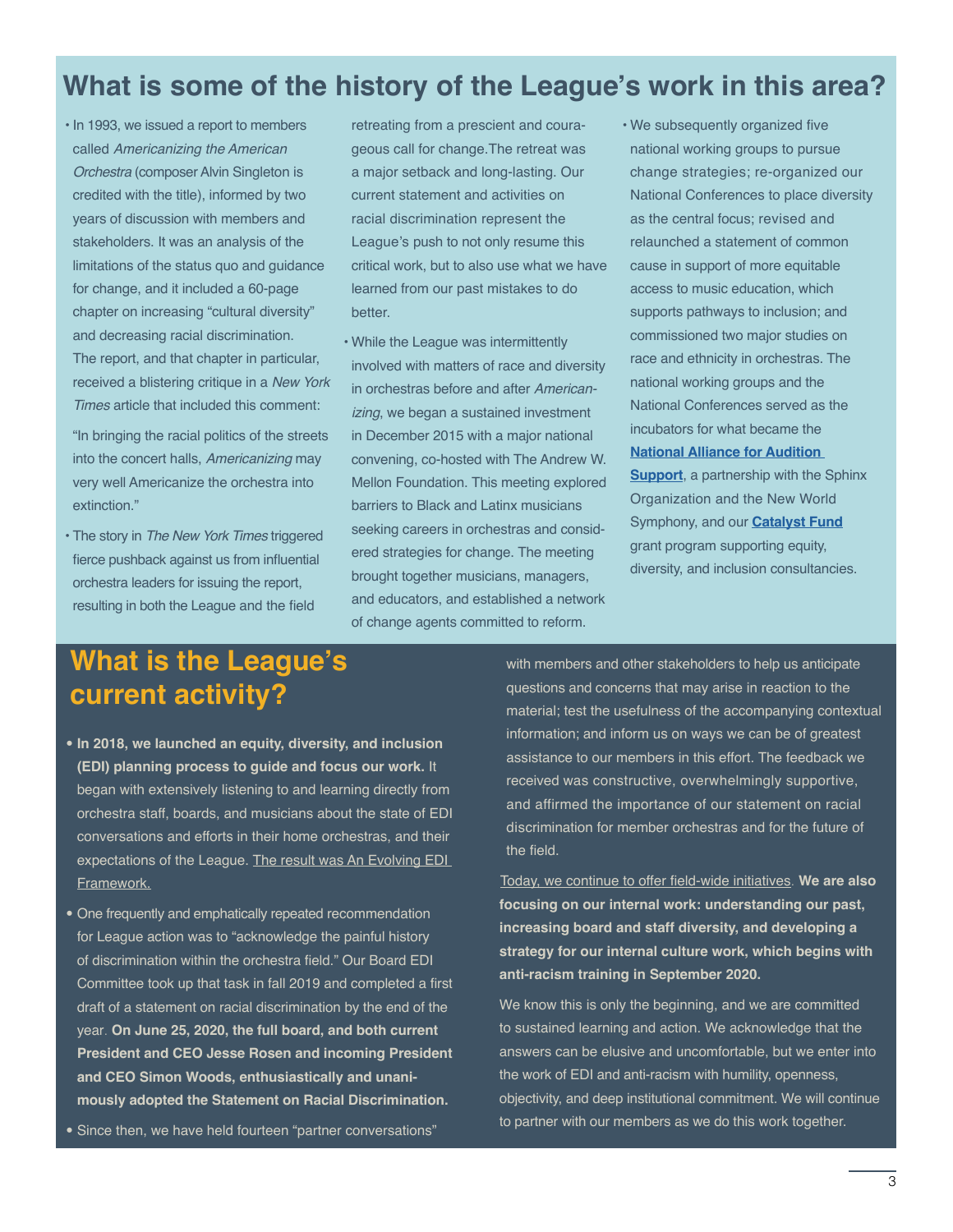## **What is some of the history of the League's work in this area?**

• In 1993, we issued a report to members called *Americanizing the American Orchestra* (composer Alvin Singleton is credited with the title), informed by two years of discussion with members and stakeholders. It was an analysis of the limitations of the status quo and guidance for change, and it included a 60-page chapter on increasing "cultural diversity" and decreasing racial discrimination. The report, and that chapter in particular, received a blistering critique in a *New York Times* article that included this comment:

"In bringing the racial politics of the streets into the concert halls, *Americanizing* may very well Americanize the orchestra into extinction."

• The story in *The New York Times* triggered fierce pushback against us from influential orchestra leaders for issuing the report, resulting in both the League and the field

retreating from a prescient and courageous call for change.The retreat was a major setback and long-lasting. Our current statement and activities on racial discrimination represent the League's push to not only resume this critical work, but to also use what we have learned from our past mistakes to do better.

- While the League was intermittently involved with matters of race and diversity in orchestras before and after *Americanizing*, we began a sustained investment in December 2015 with a major national convening, co-hosted with The Andrew W. Mellon Foundation. This meeting explored barriers to Black and Latinx musicians seeking careers in orchestras and considered strategies for change. The meeting brought together musicians, managers, and educators, and established a network of change agents committed to reform.
- We subsequently organized five national working groups to pursue change strategies; re-organized our National Conferences to place diversity as the central focus; revised and relaunched a statement of common cause in support of more equitable access to music education, which supports pathways to inclusion; and commissioned two major studies on race and ethnicity in orchestras. The national working groups and the National Conferences served as the incubators for what became the **[National Alliance for Audition](http://www.sphinxmusic.org/national-alliance-for-audition-support/)  [Support](http://www.sphinxmusic.org/national-alliance-for-audition-support/)**, a partnership with the Sphinx Organization and the New World Symphony, and our **[Catalyst Fund](https://americanorchestras.org/learning-leadership-development/the-catalyst-fund.html)** grant program supporting equity, diversity, and inclusion consultancies.

# **What is the League's current activity?**

- **In 2018, we launched an equity, diversity, and inclusion (EDI) planning process to guide and focus our work.** It began with extensively listening to and learning directly from orchestra staff, boards, and musicians about the state of EDI conversations and efforts in their home orchestras, and their expectations of the League. The result was An Evolving EDI [Framework.](https://www.americanorchestras.org/images/stories/diversity/EDI_Framework.pdf)
- One frequently and emphatically repeated recommendation for League action was to "acknowledge the painful history of discrimination within the orchestra field." Our Board EDI Committee took up that task in fall 2019 and completed a first draft of a statement on racial discrimination by the end of the year. **On June 25, 2020, the full board, and both current President and CEO Jesse Rosen and incoming President and CEO Simon Woods, enthusiastically and unanimously adopted the Statement on Racial Discrimination.**
- Since then, we have held fourteen "partner conversations"

with members and other stakeholders to help us anticipate questions and concerns that may arise in reaction to the material; test the usefulness of the accompanying contextual information; and inform us on ways we can be of greatest assistance to our members in this effort. The feedback we received was constructive, overwhelmingly supportive, and affirmed the importance of our statement on racial discrimination for member orchestras and for the future of the field.

[Today, we continue to offer field-wide initiatives](https://americanorchestras.org/images/stories/diversity/EDI-Work-at-the-League-Summer-2020.pdf). **We are also focusing on our internal work: understanding our past, increasing board and staff diversity, and developing a strategy for our internal culture work, which begins with anti-racism training in September 2020.**

We know this is only the beginning, and we are committed to sustained learning and action. We acknowledge that the answers can be elusive and uncomfortable, but we enter into the work of EDI and anti-racism with humility, openness, objectivity, and deep institutional commitment. We will continue to partner with our members as we do this work together.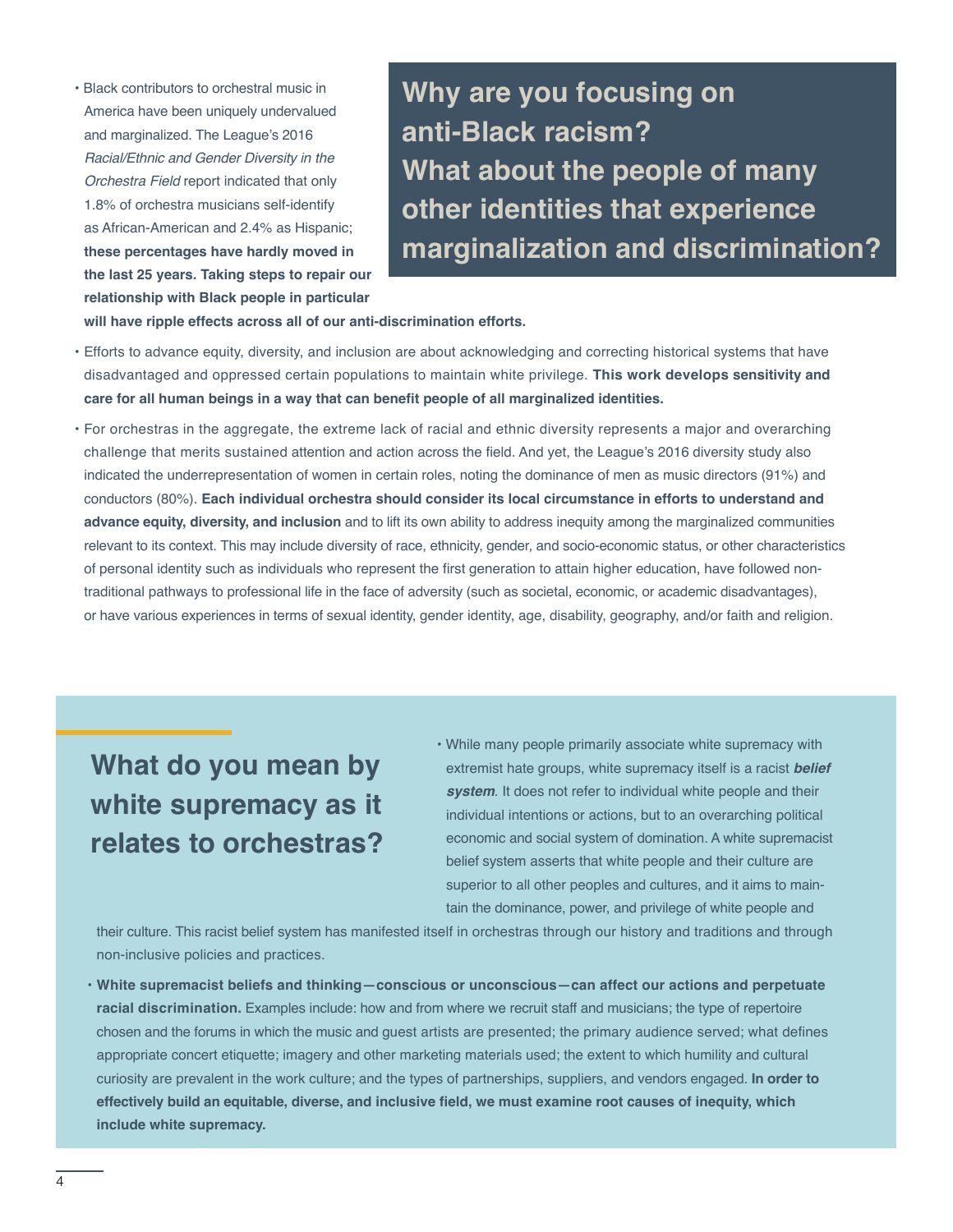• Black contributors to orchestral music in America have been uniquely undervalued and marginalized. The League's 2016 Racial/Ethnic and Gender Diversity in the Orchestra Field report indicated that only 1.8% of orchestra musicians self-identify as African-American and 2.4% as Hispanic; **these percentages have hardly moved in the last 25 years. Taking steps to repair our relationship with Black people in particular** 

**Why are you focusing on anti-Black racism? What about the people of many other identities that experience marginalization and discrimination?** 

**will have ripple effects across all of our anti-discrimination efforts.** 

- Efforts to advance equity, diversity, and inclusion are about acknowledging and correcting historical systems that have disadvantaged and oppressed certain populations to maintain white privilege. **This work develops sensitivity and care for all human beings in a way that can benefit people of all marginalized identities.**
- For orchestras in the aggregate, the extreme lack of racial and ethnic diversity represents a major and overarching challenge that merits sustained attention and action across the field. And yet, the League's 2016 diversity study also indicated the underrepresentation of women in certain roles, noting the dominance of men as music directors (91%) and conductors (80%). **Each individual orchestra should consider its local circumstance in efforts to understand and advance equity, diversity, and inclusion** and to lift its own ability to address inequity among the marginalized communities relevant to its context. This may include diversity of race, ethnicity, gender, and socio-economic status, or other characteristics of personal identity such as individuals who represent the first generation to attain higher education, have followed nontraditional pathways to professional life in the face of adversity (such as societal, economic, or academic disadvantages), or have various experiences in terms of sexual identity, gender identity, age, disability, geography, and/or faith and religion.

**What do you mean by white supremacy as it relates to orchestras?** 

• While many people primarily associate white supremacy with extremist hate groups, white supremacy itself is a racist *belief system*. It does not refer to individual white people and their individual intentions or actions, but to an overarching political economic and social system of domination. A white supremacist belief system asserts that white people and their culture are superior to all other peoples and cultures, and it aims to maintain the dominance, power, and privilege of white people and

their culture. This racist belief system has manifested itself in orchestras through our history and traditions and through non-inclusive policies and practices.

• **White supremacist beliefs and thinking—conscious or unconscious—can affect our actions and perpetuate racial discrimination.** Examples include: how and from where we recruit staff and musicians; the type of repertoire chosen and the forums in which the music and guest artists are presented; the primary audience served; what defines appropriate concert etiquette; imagery and other marketing materials used; the extent to which humility and cultural curiosity are prevalent in the work culture; and the types of partnerships, suppliers, and vendors engaged. **In order to effectively build an equitable, diverse, and inclusive field, we must examine root causes of inequity, which include white supremacy.**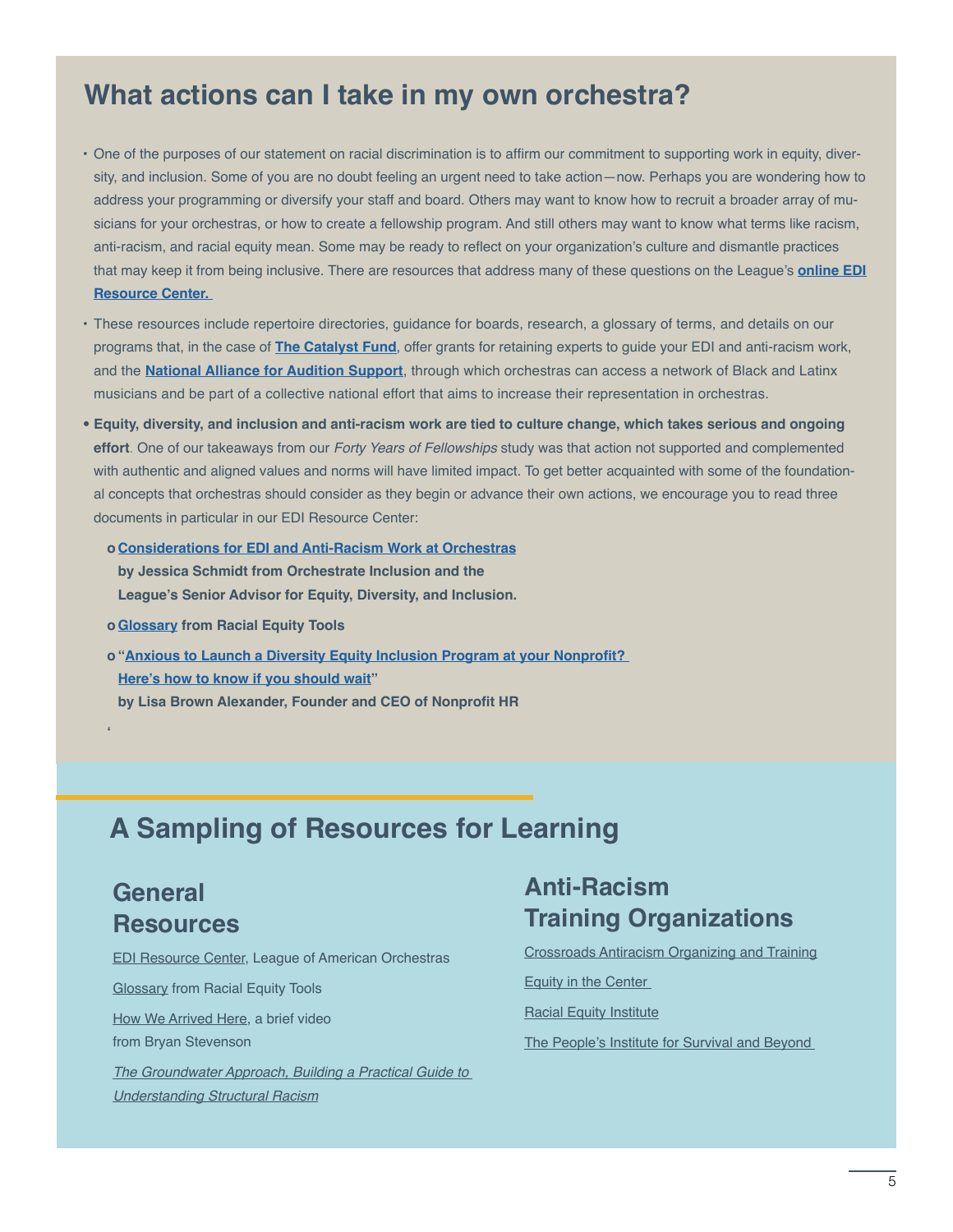#### **What actions can I take in my own orchestra?**

- One of the purposes of our statement on racial discrimination is to affirm our commitment to supporting work in equity, diversity, and inclusion. Some of you are no doubt feeling an urgent need to take action—now. Perhaps you are wondering how to address your programming or diversify your staff and board. Others may want to know how to recruit a broader array of musicians for your orchestras, or how to create a fellowship program. And still others may want to know what terms like racism, anti-racism, and racial equity mean. Some may be ready to reflect on your organization's culture and dismantle practices that may keep it from being inclusive. There are resources that address many of these questions on the League's **[online EDI](https://americanorchestras.org/learning-leadership-development/diversity-resource-center.html)  [Resource Center.](https://americanorchestras.org/learning-leadership-development/diversity-resource-center.html)**
- These resources include repertoire directories, guidance for boards, research, a glossary of terms, and details on our programs that, in the case of **[The Catalyst Fund](https://americanorchestras.org/learning-leadership-development/the-catalyst-fund.html)**, offer grants for retaining experts to guide your EDI and anti-racism work, and the **[National Alliance for Audition Support](http://www.sphinxmusic.org/national-alliance-for-audition-support/)**, through which orchestras can access a network of Black and Latinx musicians and be part of a collective national effort that aims to increase their representation in orchestras.
- **Equity, diversity, and inclusion and anti-racism work are tied to culture change, which takes serious and ongoing effort**. One of our takeaways from our *Forty Years of Fellowships* study was that action not supported and complemented with authentic and aligned values and norms will have limited impact. To get better acquainted with some of the foundational concepts that orchestras should consider as they begin or advance their own actions, we encourage you to read three documents in particular in our EDI Resource Center:
	- **o [Considerations for EDI and Anti-Racism Work at Orchestras](https://americanorchestras.org/images/stories/diversity/Considerations-for-EDI-and-Anti-Racism-Work-at-Orchestras-Orchestrate-Inclusion.pdf) by Jessica Schmidt from Orchestrate Inclusion and the League's Senior Advisor for Equity, Diversity, and Inclusion.**
	- **o [Glossary](https://www.racialequitytools.org/glossary) from Racial Equity Tools**
	- **o "[Anxious to Launch a Diversity Equity Inclusion Program at your Nonprofit?](https://www.nonprofithr.com/anxious-to-launch-a-diversity-equity-inclusion-program-at-your-nonprofit/)  [Here's how to know if you should wait](https://www.nonprofithr.com/anxious-to-launch-a-diversity-equity-inclusion-program-at-your-nonprofit/)" by Lisa Brown Alexander, Founder and CEO of Nonprofit HR**

## **A Sampling of Resources for Learning**

#### **General Resources**

**'**

[EDI Resource Center,](https://www.americanorchestras.org/learning-leadership-development/diversity-resource-center.html) League of American Orchestras

[Glossary](https://www.racialequitytools.org/glossary) from Racial Equity Tools

[How We Arrived Here,](https://www.youtube.com/watch?v=Q65pzBelBIc) a brief video from Bryan Stevenson

[The Groundwater Approach, Building a Practical Guide to](https://www.racialequityinstitute.com/groundwaterapproach)  [Understanding Structural Racis](https://www.racialequityinstitute.com/groundwaterapproach)m

#### **Anti-Racism Training Organizations**

[Crossroads Antiracism Organizing and Training](http://crossroadsantiracism.org/)

[Equity in the Center](https://www.equityinthecenter.org/) 

[Racial Equity Institute](https://www.racialequityinstitute.com/)

[The People's Institute for Survival and Beyond](https://www.pisab.org/)